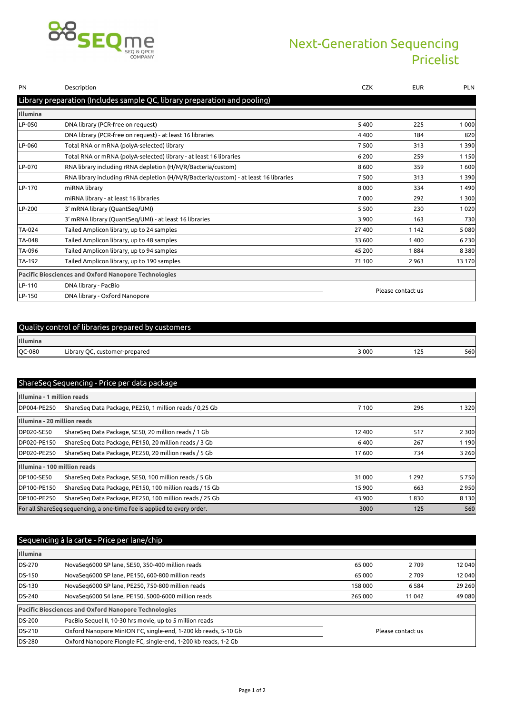

# Next-Generation Sequencing Pricelist

| <b>PN</b> | Description                                                                          | <b>CZK</b> | <b>EUR</b>        | <b>PLN</b> |
|-----------|--------------------------------------------------------------------------------------|------------|-------------------|------------|
|           | Library preparation (Includes sample QC, library preparation and pooling)            |            |                   |            |
| Illumina  |                                                                                      |            |                   |            |
| LP-050    | DNA library (PCR-free on request)                                                    | 5 4 0 0    | 225               | 1 0 0 0    |
|           | DNA library (PCR-free on request) - at least 16 libraries                            | 4 4 0 0    | 184               | 820        |
| LP-060    | Total RNA or mRNA (polyA-selected) library                                           | 7 500      | 313               | 1 3 9 0    |
|           | Total RNA or mRNA (polyA-selected) library - at least 16 libraries                   | 6 2 0 0    | 259               | 1 1 5 0    |
| LP-070    | RNA library including rRNA depletion (H/M/R/Bacteria/custom)                         | 8 6 0 0    | 359               | 1600       |
|           | RNA library including rRNA depletion (H/M/R/Bacteria/custom) - at least 16 libraries | 7 500      | 313               | 1 3 9 0    |
| LP-170    | miRNA library                                                                        | 8 0 0 0    | 334               | 1490       |
|           | miRNA library - at least 16 libraries                                                | 7 0 0 0    | 292               | 1 3 0 0    |
| LP-200    | 3' mRNA library (QuantSeq/UMI)                                                       | 5 5 0 0    | 230               | 1020       |
|           | 3' mRNA library (QuantSeq/UMI) - at least 16 libraries                               | 3 9 0 0    | 163               | 730        |
| TA-024    | Tailed Amplicon library, up to 24 samples                                            | 27 400     | 1 1 4 2           | 5 0 8 0    |
| TA-048    | Tailed Amplicon library, up to 48 samples                                            | 33 600     | 1400              | 6 2 3 0    |
| TA-096    | Tailed Amplicon library, up to 94 samples                                            | 45 200     | 1884              | 8 3 8 0    |
| TA-192    | Tailed Amplicon library, up to 190 samples                                           | 71 100     | 2963              | 13 170     |
|           | Pacific Biosciences and Oxford Nanopore Technologies                                 |            |                   |            |
| LP-110    | DNA library - PacBio                                                                 |            |                   |            |
| LP-150    | DNA library - Oxford Nanopore                                                        |            | Please contact us |            |

| Quality control of libraries prepared by customers |                               |       |     |     |
|----------------------------------------------------|-------------------------------|-------|-----|-----|
| Illumina                                           |                               |       |     |     |
| QC-080                                             | Library QC, customer-prepared | 3 000 | 125 | 560 |

|                              | ShareSeg Sequencing - Price per data package                           |        |         |         |
|------------------------------|------------------------------------------------------------------------|--------|---------|---------|
| Illumina - 1 million reads   |                                                                        |        |         |         |
| DP004-PE250                  | ShareSeq Data Package, PE250, 1 million reads / 0,25 Gb                | 7 100  | 296     | 1 3 2 0 |
| Illumina - 20 million reads  |                                                                        |        |         |         |
| DP020-SE50                   | ShareSeq Data Package, SE50, 20 million reads / 1 Gb                   | 12 400 | 517     | 2 3 0 0 |
| <b>DP020-PE150</b>           | ShareSeg Data Package, PE150, 20 million reads / 3 Gb                  | 6400   | 267     | 1 1 9 0 |
| DP020-PE250                  | ShareSeq Data Package, PE250, 20 million reads / 5 Gb                  | 17600  | 734     | 3 2 6 0 |
| Illumina - 100 million reads |                                                                        |        |         |         |
| DP100-SE50                   | ShareSeq Data Package, SE50, 100 million reads / 5 Gb                  | 31 000 | 1 2 9 2 | 5750    |
| DP100-PE150                  | ShareSeq Data Package, PE150, 100 million reads / 15 Gb                | 15 900 | 663     | 2 9 5 0 |
| <b>DP100-PE250</b>           | ShareSeq Data Package, PE250, 100 million reads / 25 Gb                | 43 900 | 1830    | 8 1 3 0 |
|                              | For all ShareSeq sequencing, a one-time fee is applied to every order. | 3000   | 125     | 560     |

|               | Sequencing à la carte - Price per lane/chip                    |         |                   |         |
|---------------|----------------------------------------------------------------|---------|-------------------|---------|
| Illumina      |                                                                |         |                   |         |
| <b>DS-270</b> | NovaSeq6000 SP lane, SE50, 350-400 million reads               | 65 000  | 2 7 0 9           | 12 04 0 |
| <b>DS-150</b> | NovaSeg6000 SP lane, PE150, 600-800 million reads              | 65 000  | 2 7 0 9           | 12 040  |
| <b>DS-130</b> | NovaSeq6000 SP lane, PE250, 750-800 million reads              | 158 000 | 6 5 8 4           | 29 260  |
| DS-240        | NovaSeq6000 S4 lane, PE150, 5000-6000 million reads            | 265 000 | 11 042            | 49 080  |
|               | <b>Pacific Biosciences and Oxford Nanopore Technologies</b>    |         |                   |         |
| <b>DS-200</b> | PacBio Sequel II, 10-30 hrs movie, up to 5 million reads       |         |                   |         |
| DS-210        | Oxford Nanopore MinION FC, single-end, 1-200 kb reads, 5-10 Gb |         | Please contact us |         |
| <b>DS-280</b> | Oxford Nanopore Flongle FC, single-end, 1-200 kb reads, 1-2 Gb |         |                   |         |